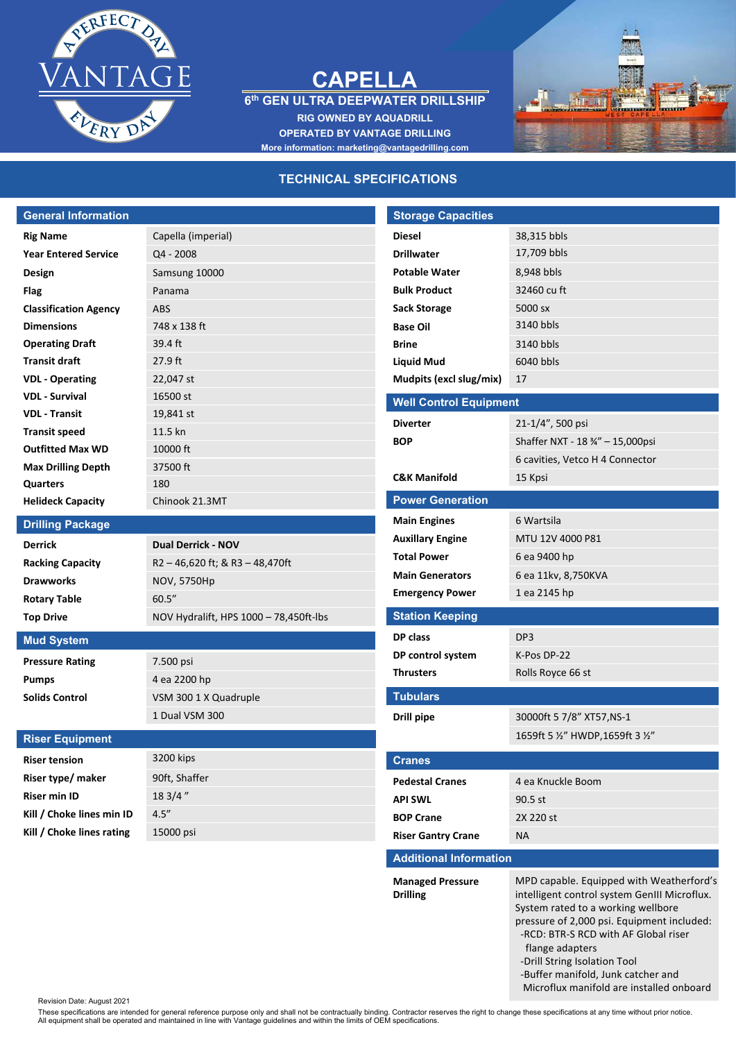

## **CAPELLA**

**6 th GEN ULTRA DEEPWATER DRILLSHIP**

**RIG OWNED BY AQUADRILL OPERATED BY VANTAGE DRILLING More information: marketing@vantagedrilling.com**



## **TECHNICAL SPECIFICATIONS**

| <b>General Information</b>   |                                        | <b>Storage Capacities</b>     |                                   |
|------------------------------|----------------------------------------|-------------------------------|-----------------------------------|
| <b>Rig Name</b>              | Capella (imperial)                     | <b>Diesel</b>                 | 38,315 bbls                       |
| <b>Year Entered Service</b>  | $Q4 - 2008$                            | <b>Drillwater</b>             | 17,709 bbls                       |
| Design                       | Samsung 10000                          | <b>Potable Water</b>          | 8,948 bbls                        |
| <b>Flag</b>                  | Panama                                 | <b>Bulk Product</b>           | 32460 cu ft                       |
| <b>Classification Agency</b> | <b>ABS</b>                             | <b>Sack Storage</b>           | 5000 sx                           |
| <b>Dimensions</b>            | 748 x 138 ft                           | <b>Base Oil</b>               | 3140 bbls                         |
| <b>Operating Draft</b>       | $39.4$ ft                              | <b>Brine</b>                  | 3140 bbls                         |
| <b>Transit draft</b>         | 27.9 ft                                | <b>Liquid Mud</b>             | 6040 bbls                         |
| <b>VDL</b> - Operating       | 22,047 st                              | Mudpits (excl slug/mix)       | 17                                |
| <b>VDL - Survival</b>        | 16500 st                               | <b>Well Control Equipment</b> |                                   |
| <b>VDL - Transit</b>         | 19,841 st                              | <b>Diverter</b>               | 21-1/4", 500 psi                  |
| <b>Transit speed</b>         | 11.5 kn                                | <b>BOP</b>                    |                                   |
| <b>Outfitted Max WD</b>      | 10000 ft                               |                               | Shaffer NXT - 18 3/4" - 15,000psi |
| <b>Max Drilling Depth</b>    | 37500 ft                               |                               | 6 cavities, Vetco H 4 Connector   |
| <b>Quarters</b>              | 180                                    | <b>C&amp;K Manifold</b>       | 15 Kpsi                           |
| <b>Helideck Capacity</b>     | Chinook 21.3MT                         | <b>Power Generation</b>       |                                   |
| <b>Drilling Package</b>      |                                        | <b>Main Engines</b>           | 6 Wartsila                        |
| <b>Derrick</b>               | <b>Dual Derrick - NOV</b>              | <b>Auxillary Engine</b>       | MTU 12V 4000 P81                  |
| <b>Racking Capacity</b>      | R2-46,620 ft; & R3-48,470ft            | <b>Total Power</b>            | 6 ea 9400 hp                      |
| <b>Drawworks</b>             | NOV, 5750Hp                            | <b>Main Generators</b>        | 6 ea 11kv, 8,750KVA               |
| <b>Rotary Table</b>          | 60.5''                                 | <b>Emergency Power</b>        | 1 ea 2145 hp                      |
| <b>Top Drive</b>             | NOV Hydralift, HPS 1000 - 78,450ft-lbs | <b>Station Keeping</b>        |                                   |
| <b>Mud System</b>            |                                        | DP class                      | DP3                               |
| <b>Pressure Rating</b>       | 7.500 psi                              | DP control system             | K-Pos DP-22                       |
| Pumps                        | 4 ea 2200 hp                           | <b>Thrusters</b>              | Rolls Royce 66 st                 |
| <b>Solids Control</b>        | VSM 300 1 X Quadruple                  | <b>Tubulars</b>               |                                   |
|                              | 1 Dual VSM 300                         | <b>Drill pipe</b>             | 30000ft 5 7/8" XT57, NS-1         |
| <b>Riser Equipment</b>       |                                        |                               | 1659ft 5 1/2" HWDP, 1659ft 3 1/2" |
|                              |                                        |                               |                                   |
| <b>Riser tension</b>         | 3200 kips                              | <b>Cranes</b>                 |                                   |
| Riser type/ maker            | 90ft, Shaffer                          | <b>Pedestal Cranes</b>        | 4 ea Knuckle Boom                 |
| <b>Riser min ID</b>          | 18 3/4"                                | <b>API SWL</b>                | 90.5 st                           |
| Kill / Choke lines min ID    | 4.5''                                  | <b>BOP Crane</b>              | 2X 220 st                         |
| Kill / Choke lines rating    | 15000 psi                              | <b>Riser Gantry Crane</b>     | <b>NA</b>                         |
|                              |                                        | <b>Additional Information</b> |                                   |
|                              |                                        |                               |                                   |

**Managed Pressure Drilling**

intelligent control system GenIII Microflux. System rated to a working wellbore pressure of 2,000 psi. Equipment included: -RCD: BTR-S RCD with AF Global riser flange adapters

MPD capable. Equipped with Weatherford's

-Drill String Isolation Tool

-Buffer manifold, Junk catcher and

Microflux manifold are installed onboard

Revision Date: August 2021

These specifications are intended for general reference purpose only and shall not be contractually binding. Contractor reserves the right to change these specifications at any time without prior notice.<br>All equipment shal